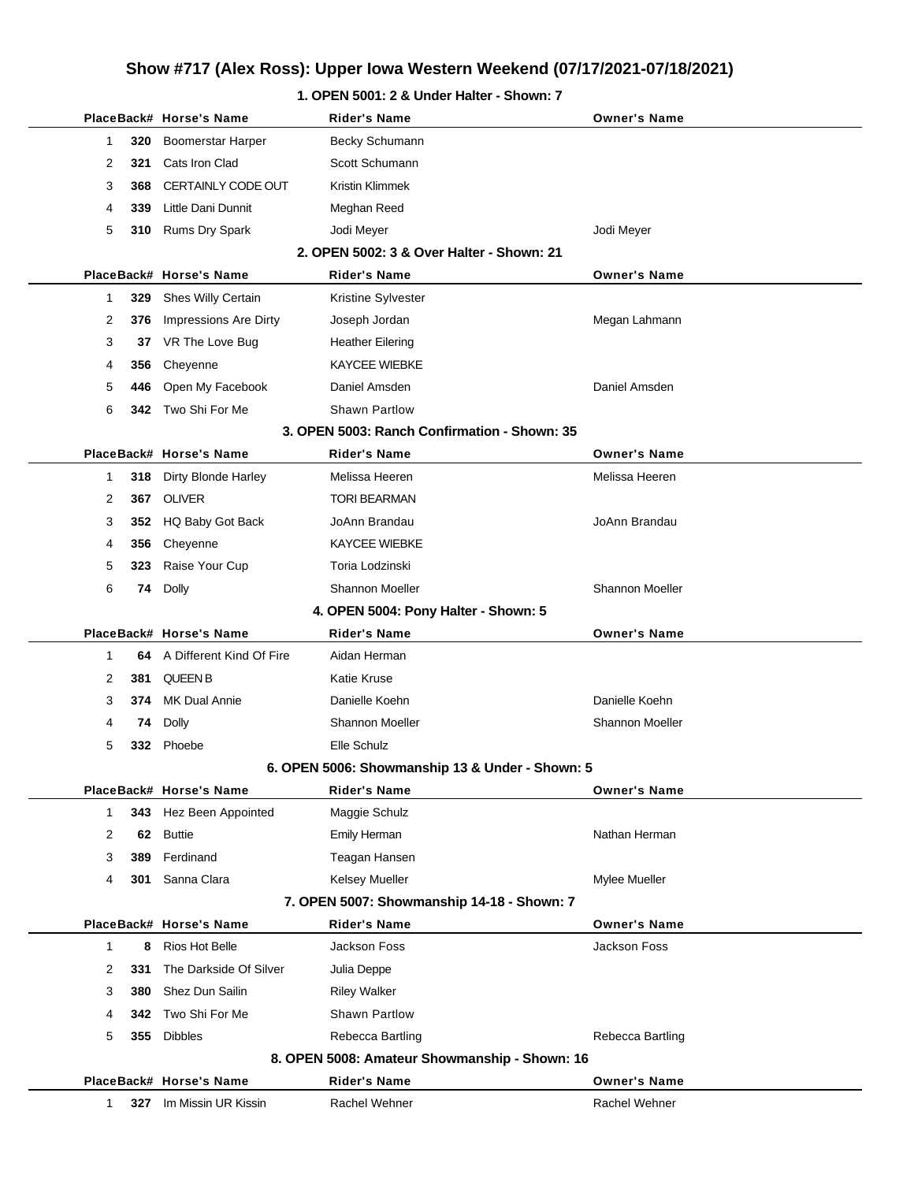## **Show #717 (Alex Ross): Upper Iowa Western Weekend (07/17/2021-07/18/2021)**

|              |     | PlaceBack# Horse's Name   | Rider's Name                                    | <b>Owner's Name</b>    |  |
|--------------|-----|---------------------------|-------------------------------------------------|------------------------|--|
| $\mathbf{1}$ | 320 | <b>Boomerstar Harper</b>  | Becky Schumann                                  |                        |  |
| 2            | 321 | Cats Iron Clad            | Scott Schumann                                  |                        |  |
| 3            | 368 | <b>CERTAINLY CODE OUT</b> | Kristin Klimmek                                 |                        |  |
| 4            | 339 | Little Dani Dunnit        | Meghan Reed                                     |                        |  |
| 5            | 310 | Rums Dry Spark            | Jodi Meyer                                      | Jodi Meyer             |  |
|              |     |                           | 2. OPEN 5002: 3 & Over Halter - Shown: 21       |                        |  |
|              |     | PlaceBack# Horse's Name   | <b>Rider's Name</b>                             | <b>Owner's Name</b>    |  |
| $\mathbf{1}$ | 329 | Shes Willy Certain        | Kristine Sylvester                              |                        |  |
| 2            | 376 | Impressions Are Dirty     | Joseph Jordan                                   | Megan Lahmann          |  |
| 3            | 37  | VR The Love Bug           | <b>Heather Eilering</b>                         |                        |  |
| 4            | 356 | Cheyenne                  | <b>KAYCEE WIEBKE</b>                            |                        |  |
| 5            | 446 | Open My Facebook          | Daniel Amsden                                   | Daniel Amsden          |  |
| 6            | 342 | Two Shi For Me            | <b>Shawn Partlow</b>                            |                        |  |
|              |     |                           | 3. OPEN 5003: Ranch Confirmation - Shown: 35    |                        |  |
|              |     | PlaceBack# Horse's Name   | <b>Rider's Name</b>                             | <b>Owner's Name</b>    |  |
| 1            | 318 | Dirty Blonde Harley       | Melissa Heeren                                  | Melissa Heeren         |  |
| 2            | 367 | OLIVER                    | <b>TORI BEARMAN</b>                             |                        |  |
| 3            |     | 352 HQ Baby Got Back      | JoAnn Brandau                                   | JoAnn Brandau          |  |
| 4            | 356 | Cheyenne                  | <b>KAYCEE WIEBKE</b>                            |                        |  |
| 5            | 323 | Raise Your Cup            | Toria Lodzinski                                 |                        |  |
| 6            | 74  | Dolly                     | Shannon Moeller                                 | <b>Shannon Moeller</b> |  |
|              |     |                           | 4. OPEN 5004: Pony Halter - Shown: 5            |                        |  |
|              |     | PlaceBack# Horse's Name   | <b>Rider's Name</b>                             | <b>Owner's Name</b>    |  |
| 1            | 64  | A Different Kind Of Fire  | Aidan Herman                                    |                        |  |
| 2            | 381 | <b>QUEEN B</b>            | Katie Kruse                                     |                        |  |
| 3            | 374 | MK Dual Annie             | Danielle Koehn                                  | Danielle Koehn         |  |
| 4            | 74  | Dolly                     | <b>Shannon Moeller</b>                          | <b>Shannon Moeller</b> |  |
| 5            | 332 | Phoebe                    | Elle Schulz                                     |                        |  |
|              |     |                           | 6. OPEN 5006: Showmanship 13 & Under - Shown: 5 |                        |  |
|              |     | PlaceBack# Horse's Name   | <b>Rider's Name</b>                             | <b>Owner's Name</b>    |  |
| $\mathbf 1$  | 343 | Hez Been Appointed        | Maggie Schulz                                   |                        |  |
| 2            | 62  | <b>Buttie</b>             | Emily Herman                                    | Nathan Herman          |  |
| 3            | 389 | Ferdinand                 | Teagan Hansen                                   |                        |  |
| 4            | 301 | Sanna Clara               | <b>Kelsey Mueller</b>                           | Mylee Mueller          |  |
|              |     |                           | 7. OPEN 5007: Showmanship 14-18 - Shown: 7      |                        |  |
|              |     | PlaceBack# Horse's Name   | <b>Rider's Name</b>                             | <b>Owner's Name</b>    |  |
| 1            | 8   | Rios Hot Belle            | Jackson Foss                                    | Jackson Foss           |  |
| 2            | 331 | The Darkside Of Silver    | Julia Deppe                                     |                        |  |
| 3            | 380 | Shez Dun Sailin           | <b>Riley Walker</b>                             |                        |  |
| 4            | 342 | Two Shi For Me            | Shawn Partlow                                   |                        |  |
| 5            | 355 | <b>Dibbles</b>            | Rebecca Bartling                                | Rebecca Bartling       |  |
|              |     |                           | 8. OPEN 5008: Amateur Showmanship - Shown: 16   |                        |  |
|              |     | PlaceBack# Horse's Name   | <b>Rider's Name</b>                             | <b>Owner's Name</b>    |  |
| 1            |     | 327 Im Missin UR Kissin   | Rachel Wehner                                   | Rachel Wehner          |  |
|              |     |                           |                                                 |                        |  |

### **1. OPEN 5001: 2 & Under Halter - Shown: 7**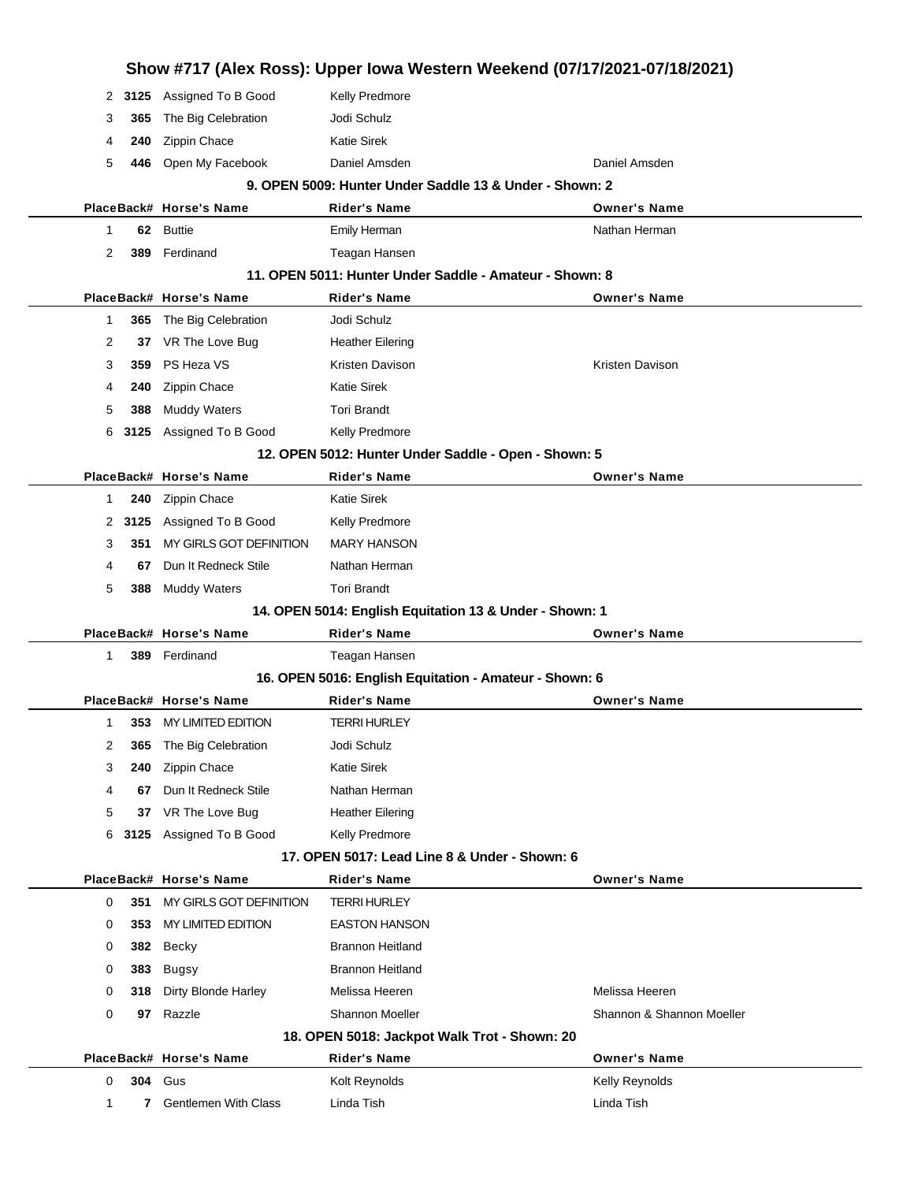|        |      | Show #717 (Alex Ross): Upper Iowa Western Weekend (07/17/2021-07/18/2021) |                                                         |                              |  |
|--------|------|---------------------------------------------------------------------------|---------------------------------------------------------|------------------------------|--|
| 2      |      | 3125 Assigned To B Good                                                   | Kelly Predmore                                          |                              |  |
| 3      | 365  | The Big Celebration                                                       | Jodi Schulz                                             |                              |  |
| 4      | 240  | Zippin Chace                                                              | <b>Katie Sirek</b>                                      |                              |  |
| 5      | 446  | Open My Facebook                                                          | Daniel Amsden                                           | Daniel Amsden                |  |
|        |      |                                                                           | 9. OPEN 5009: Hunter Under Saddle 13 & Under - Shown: 2 |                              |  |
|        |      | PlaceBack# Horse's Name                                                   | Rider's Name                                            | <b>Owner's Name</b>          |  |
| 1      | 62   | <b>Buttie</b>                                                             | Emily Herman                                            | Nathan Herman                |  |
| 2      | 389  | Ferdinand                                                                 | Teagan Hansen                                           |                              |  |
|        |      |                                                                           | 11. OPEN 5011: Hunter Under Saddle - Amateur - Shown: 8 |                              |  |
|        |      | PlaceBack# Horse's Name                                                   | <b>Rider's Name</b>                                     | <b>Owner's Name</b>          |  |
| 1      |      | 365 The Big Celebration                                                   | Jodi Schulz                                             |                              |  |
| 2      | 37   | VR The Love Bug                                                           | <b>Heather Eilering</b>                                 |                              |  |
| 3      | 359  | PS Heza VS                                                                | Kristen Davison                                         | Kristen Davison              |  |
| 4      | 240  | Zippin Chace                                                              | <b>Katie Sirek</b>                                      |                              |  |
| 5      | 388  | <b>Muddy Waters</b>                                                       | <b>Tori Brandt</b>                                      |                              |  |
| 6      | 3125 | Assigned To B Good                                                        | Kelly Predmore                                          |                              |  |
|        |      |                                                                           | 12. OPEN 5012: Hunter Under Saddle - Open - Shown: 5    |                              |  |
|        |      | PlaceBack# Horse's Name                                                   | <b>Rider's Name</b>                                     | <b>Owner's Name</b>          |  |
| 1      | 240  | Zippin Chace                                                              | <b>Katie Sirek</b>                                      |                              |  |
| 2      | 3125 | Assigned To B Good                                                        | Kelly Predmore                                          |                              |  |
| 3      | 351  | MY GIRLS GOT DEFINITION                                                   | <b>MARY HANSON</b>                                      |                              |  |
| 4      | 67   | Dun It Redneck Stile                                                      | Nathan Herman                                           |                              |  |
| 5      | 388  | <b>Muddy Waters</b>                                                       | <b>Tori Brandt</b>                                      |                              |  |
|        |      |                                                                           | 14. OPEN 5014: English Equitation 13 & Under - Shown: 1 |                              |  |
|        |      | PlaceBack# Horse's Name                                                   | Rider's Name                                            | <b>Owner's Name</b>          |  |
|        |      | 389 Ferdinand                                                             | Teagan Hansen                                           |                              |  |
| 1      |      |                                                                           | 16. OPEN 5016: English Equitation - Amateur - Shown: 6  |                              |  |
|        |      |                                                                           |                                                         |                              |  |
|        |      | PlaceBack# Horse's Name                                                   | Rider's Name                                            | <b>Owner's Name</b>          |  |
| 1      |      | 353 MY LIMITED EDITION                                                    | <b>TERRI HURLEY</b>                                     |                              |  |
| 2      | 365  | The Big Celebration                                                       | Jodi Schulz                                             |                              |  |
| 3      | 240  | Zippin Chace                                                              | <b>Katie Sirek</b>                                      |                              |  |
| 4      | 67   | Dun It Redneck Stile                                                      | Nathan Herman                                           |                              |  |
| 5      | 37   | VR The Love Bug                                                           | <b>Heather Eilering</b>                                 |                              |  |
| 6      |      | 3125 Assigned To B Good                                                   | Kelly Predmore                                          |                              |  |
|        |      |                                                                           | 17. OPEN 5017: Lead Line 8 & Under - Shown: 6           |                              |  |
|        |      | PlaceBack# Horse's Name                                                   | Rider's Name                                            | <b>Owner's Name</b>          |  |
| 0      | 351  | MY GIRLS GOT DEFINITION                                                   | <b>TERRI HURLEY</b>                                     |                              |  |
| 0      | 353  | MY LIMITED EDITION                                                        | <b>EASTON HANSON</b>                                    |                              |  |
| 0      | 382  | Becky                                                                     | <b>Brannon Heitland</b>                                 |                              |  |
| 0      | 383  | Bugsy                                                                     | <b>Brannon Heitland</b>                                 |                              |  |
| 0      | 318  | Dirty Blonde Harley                                                       | Melissa Heeren                                          | Melissa Heeren               |  |
| 0      | 97   | Razzle                                                                    | <b>Shannon Moeller</b>                                  | Shannon & Shannon Moeller    |  |
|        |      |                                                                           | 18. OPEN 5018: Jackpot Walk Trot - Shown: 20            |                              |  |
|        |      | PlaceBack# Horse's Name                                                   | <b>Rider's Name</b>                                     | <b>Owner's Name</b>          |  |
| 0<br>1 | 304  | Gus<br><b>Gentlemen With Class</b>                                        | Kolt Reynolds<br>Linda Tish                             | Kelly Reynolds<br>Linda Tish |  |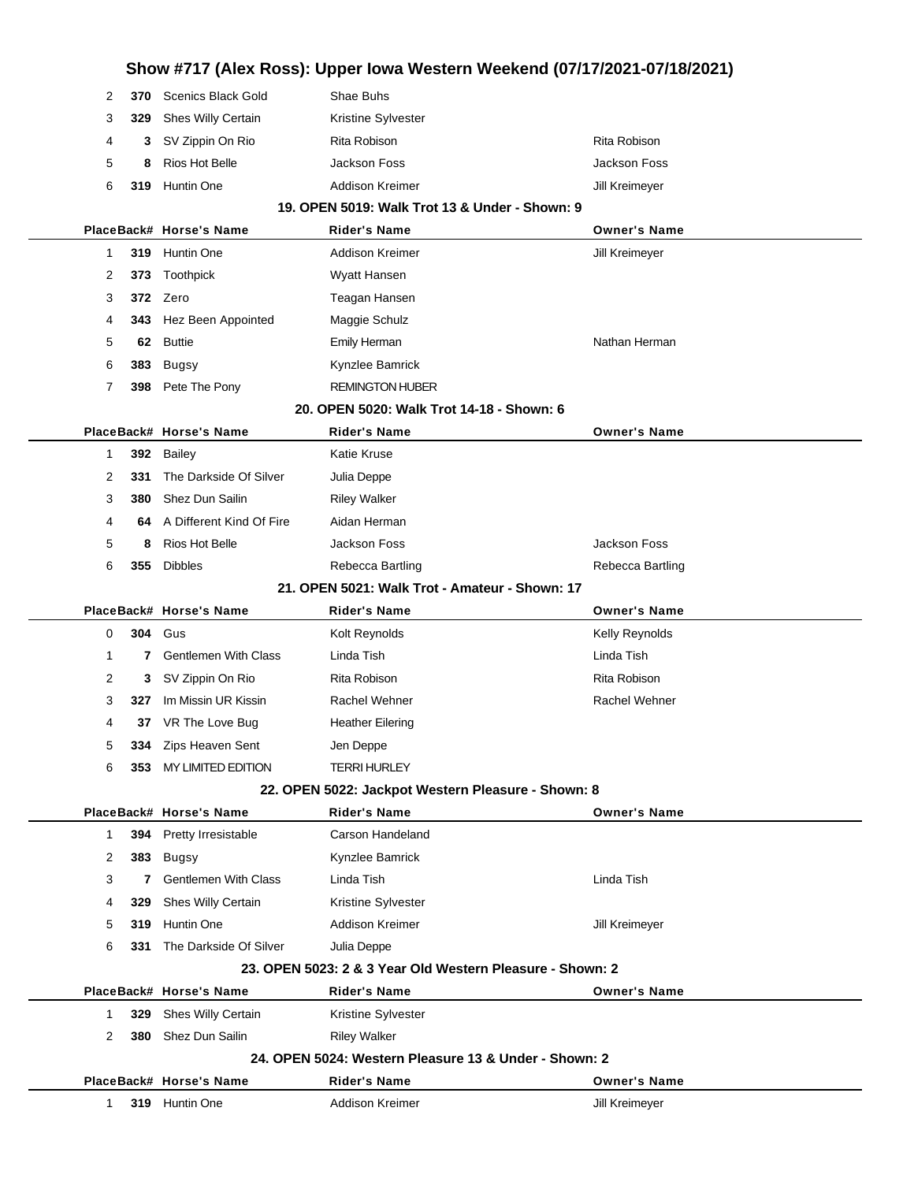|                                                |      |                                           | Show #717 (Alex Ross): Upper Iowa Western Weekend (07/17/2021-07/18/2021) |                                       |  |  |  |
|------------------------------------------------|------|-------------------------------------------|---------------------------------------------------------------------------|---------------------------------------|--|--|--|
| 2                                              | 370  | <b>Scenics Black Gold</b>                 | Shae Buhs                                                                 |                                       |  |  |  |
| 3                                              | 329  | Shes Willy Certain                        | Kristine Sylvester                                                        |                                       |  |  |  |
| 4                                              | 3    | SV Zippin On Rio                          | Rita Robison                                                              | Rita Robison                          |  |  |  |
| 5                                              | 8    | Rios Hot Belle                            | <b>Jackson Foss</b>                                                       | Jackson Foss                          |  |  |  |
| 6                                              | 319  | Huntin One                                | Addison Kreimer                                                           | Jill Kreimeyer                        |  |  |  |
|                                                |      |                                           | 19. OPEN 5019: Walk Trot 13 & Under - Shown: 9                            |                                       |  |  |  |
|                                                |      | PlaceBack# Horse's Name                   | <b>Rider's Name</b>                                                       | <b>Owner's Name</b>                   |  |  |  |
| 1                                              |      | 319 Huntin One                            | Addison Kreimer                                                           | Jill Kreimeyer                        |  |  |  |
| 2                                              | 373  | Toothpick                                 | Wyatt Hansen                                                              |                                       |  |  |  |
| 3                                              |      | 372 Zero                                  | Teagan Hansen                                                             |                                       |  |  |  |
| 4                                              | 343  | Hez Been Appointed                        | Maggie Schulz                                                             |                                       |  |  |  |
| 5                                              | 62   | <b>Buttie</b>                             | <b>Emily Herman</b>                                                       | Nathan Herman                         |  |  |  |
| 6                                              | 383  | <b>Bugsy</b>                              | Kynzlee Bamrick                                                           |                                       |  |  |  |
| 7                                              | 398  | Pete The Pony                             | <b>REMINGTON HUBER</b>                                                    |                                       |  |  |  |
|                                                |      |                                           | 20. OPEN 5020: Walk Trot 14-18 - Shown: 6                                 |                                       |  |  |  |
|                                                |      | PlaceBack# Horse's Name                   | <b>Rider's Name</b>                                                       | <b>Owner's Name</b>                   |  |  |  |
| 1                                              | 392  | Bailey                                    | Katie Kruse                                                               |                                       |  |  |  |
| 2                                              | 331  | The Darkside Of Silver                    | Julia Deppe                                                               |                                       |  |  |  |
| 3                                              | 380  | Shez Dun Sailin                           | <b>Riley Walker</b>                                                       |                                       |  |  |  |
| 4                                              | 64   | A Different Kind Of Fire                  | Aidan Herman                                                              |                                       |  |  |  |
| 5                                              | 8    | <b>Rios Hot Belle</b>                     | <b>Jackson Foss</b>                                                       | Jackson Foss                          |  |  |  |
| 6                                              | 355  | <b>Dibbles</b>                            | Rebecca Bartling                                                          | Rebecca Bartling                      |  |  |  |
| 21. OPEN 5021: Walk Trot - Amateur - Shown: 17 |      |                                           |                                                                           |                                       |  |  |  |
|                                                |      |                                           |                                                                           |                                       |  |  |  |
|                                                |      | PlaceBack# Horse's Name                   | <b>Rider's Name</b>                                                       | <b>Owner's Name</b>                   |  |  |  |
| 0                                              | 304  | Gus                                       | Kolt Reynolds                                                             | Kelly Reynolds                        |  |  |  |
| 1                                              | 7    | <b>Gentlemen With Class</b>               | Linda Tish                                                                | Linda Tish                            |  |  |  |
| 2                                              | 3    | SV Zippin On Rio                          | Rita Robison                                                              | Rita Robison                          |  |  |  |
| 3                                              | 327  | Im Missin UR Kissin                       | Rachel Wehner                                                             | Rachel Wehner                         |  |  |  |
| 4                                              |      | 37 VR The Love Bug                        | <b>Heather Eilering</b>                                                   |                                       |  |  |  |
| 5                                              | 334  | Zips Heaven Sent                          | Jen Deppe                                                                 |                                       |  |  |  |
| 6                                              | 353. | MY LIMITED EDITION                        | <b>TERRI HURLEY</b>                                                       |                                       |  |  |  |
|                                                |      |                                           | 22. OPEN 5022: Jackpot Western Pleasure - Shown: 8                        |                                       |  |  |  |
|                                                |      | PlaceBack# Horse's Name                   | <b>Rider's Name</b>                                                       | <b>Owner's Name</b>                   |  |  |  |
| 1                                              | 394  | Pretty Irresistable                       | Carson Handeland                                                          |                                       |  |  |  |
| 2                                              | 383  | <b>Bugsy</b>                              | Kynzlee Bamrick                                                           |                                       |  |  |  |
| 3                                              | 7    | <b>Gentlemen With Class</b>               | Linda Tish                                                                | Linda Tish                            |  |  |  |
| 4                                              | 329  | Shes Willy Certain                        | Kristine Sylvester                                                        |                                       |  |  |  |
| 5                                              | 319  | Huntin One                                | Addison Kreimer                                                           | Jill Kreimeyer                        |  |  |  |
| 6                                              | 331  | The Darkside Of Silver                    | Julia Deppe                                                               |                                       |  |  |  |
|                                                |      |                                           | 23. OPEN 5023: 2 & 3 Year Old Western Pleasure - Shown: 2                 |                                       |  |  |  |
|                                                |      | PlaceBack# Horse's Name                   | <b>Rider's Name</b>                                                       | <b>Owner's Name</b>                   |  |  |  |
| 1                                              | 329  | Shes Willy Certain                        | Kristine Sylvester                                                        |                                       |  |  |  |
| 2                                              | 380  | Shez Dun Sailin                           | <b>Riley Walker</b>                                                       |                                       |  |  |  |
|                                                |      |                                           | 24. OPEN 5024: Western Pleasure 13 & Under - Shown: 2                     |                                       |  |  |  |
| 1                                              |      | PlaceBack# Horse's Name<br>319 Huntin One | <b>Rider's Name</b><br>Addison Kreimer                                    | <b>Owner's Name</b><br>Jill Kreimeyer |  |  |  |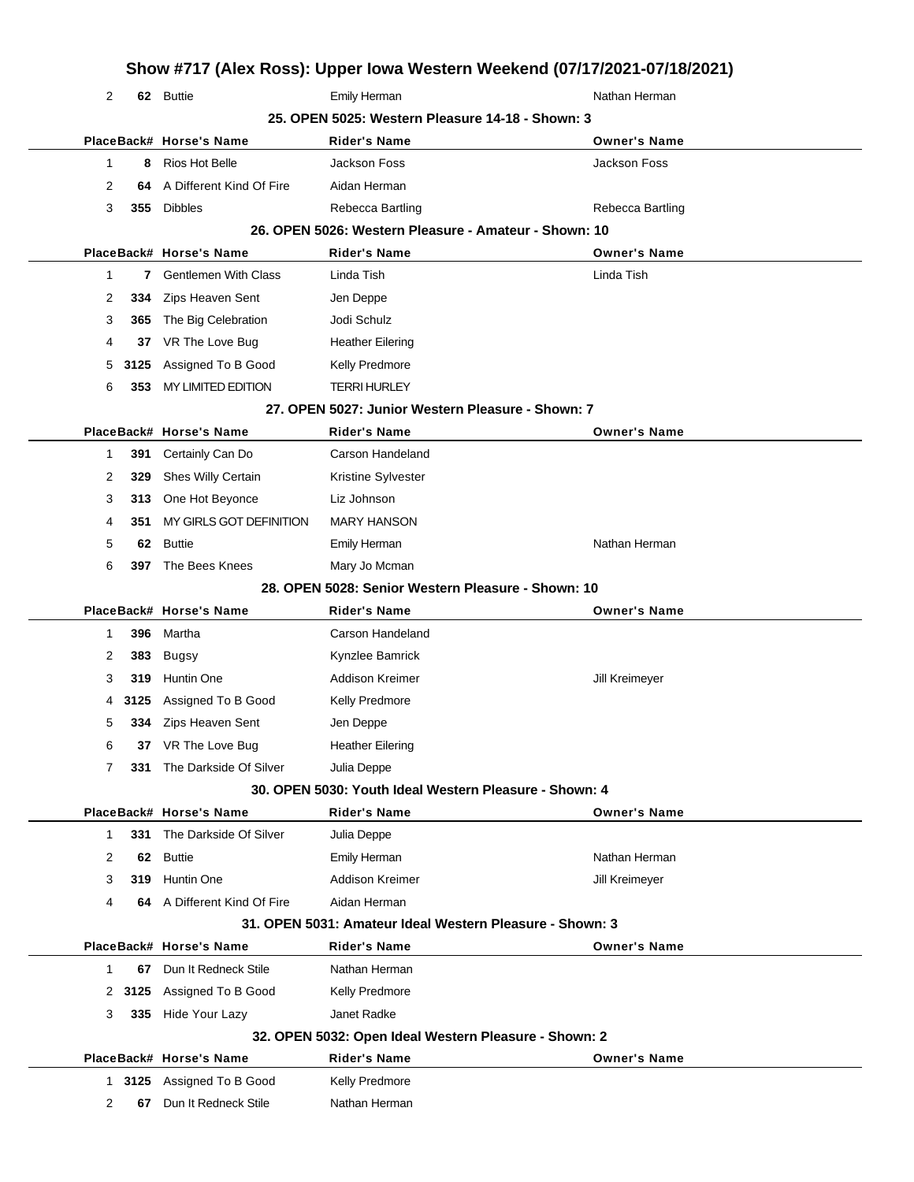|                                                  |      |                                                   |                                                          | Show #717 (Alex Ross): Upper Iowa Western Weekend (07/17/2021-07/18/2021) |  |  |  |
|--------------------------------------------------|------|---------------------------------------------------|----------------------------------------------------------|---------------------------------------------------------------------------|--|--|--|
| 2                                                |      | 62 Buttie                                         | Emily Herman                                             | Nathan Herman                                                             |  |  |  |
| 25. OPEN 5025: Western Pleasure 14-18 - Shown: 3 |      |                                                   |                                                          |                                                                           |  |  |  |
|                                                  |      | PlaceBack# Horse's Name                           | Rider's Name                                             | <b>Owner's Name</b>                                                       |  |  |  |
| 1                                                | 8    | Rios Hot Belle                                    | Jackson Foss                                             | Jackson Foss                                                              |  |  |  |
| 2                                                | 64   | A Different Kind Of Fire                          | Aidan Herman                                             |                                                                           |  |  |  |
| 3                                                | 355  | <b>Dibbles</b>                                    | Rebecca Bartling                                         | Rebecca Bartling                                                          |  |  |  |
|                                                  |      |                                                   | 26. OPEN 5026: Western Pleasure - Amateur - Shown: 10    |                                                                           |  |  |  |
|                                                  |      | PlaceBack# Horse's Name                           | <b>Rider's Name</b>                                      | <b>Owner's Name</b>                                                       |  |  |  |
| 1                                                | 7    | <b>Gentlemen With Class</b>                       | Linda Tish                                               | Linda Tish                                                                |  |  |  |
| 2                                                | 334  | Zips Heaven Sent                                  | Jen Deppe                                                |                                                                           |  |  |  |
| 3                                                | 365  | The Big Celebration                               | Jodi Schulz                                              |                                                                           |  |  |  |
| 4                                                | 37   | VR The Love Bug                                   | <b>Heather Eilering</b>                                  |                                                                           |  |  |  |
| 5                                                | 3125 | Assigned To B Good                                | Kelly Predmore                                           |                                                                           |  |  |  |
| 6                                                | 353  | MY LIMITED EDITION                                | <b>TERRI HURLEY</b>                                      |                                                                           |  |  |  |
|                                                  |      |                                                   | 27. OPEN 5027: Junior Western Pleasure - Shown: 7        |                                                                           |  |  |  |
|                                                  |      | PlaceBack# Horse's Name                           | <b>Rider's Name</b>                                      | <b>Owner's Name</b>                                                       |  |  |  |
| 1                                                | 391  | Certainly Can Do                                  | Carson Handeland                                         |                                                                           |  |  |  |
| 2                                                | 329  | Shes Willy Certain                                | Kristine Sylvester                                       |                                                                           |  |  |  |
| 3                                                | 313  | One Hot Beyonce                                   | Liz Johnson                                              |                                                                           |  |  |  |
| 4                                                | 351  | MY GIRLS GOT DEFINITION                           | <b>MARY HANSON</b>                                       |                                                                           |  |  |  |
| 5                                                | 62   | <b>Buttie</b>                                     | <b>Emily Herman</b>                                      | Nathan Herman                                                             |  |  |  |
| 6                                                | 397  | The Bees Knees                                    | Mary Jo Mcman                                            |                                                                           |  |  |  |
|                                                  |      |                                                   | 28. OPEN 5028: Senior Western Pleasure - Shown: 10       |                                                                           |  |  |  |
|                                                  |      | PlaceBack# Horse's Name                           |                                                          |                                                                           |  |  |  |
|                                                  |      |                                                   | <b>Rider's Name</b>                                      | <b>Owner's Name</b>                                                       |  |  |  |
| 1                                                | 396  | Martha                                            | Carson Handeland                                         |                                                                           |  |  |  |
| 2                                                | 383  | <b>Bugsy</b>                                      | Kynzlee Bamrick                                          |                                                                           |  |  |  |
| 3                                                | 319  | Huntin One                                        | <b>Addison Kreimer</b>                                   | Jill Kreimeyer                                                            |  |  |  |
| 4                                                | 3125 | Assigned To B Good                                | Kelly Predmore                                           |                                                                           |  |  |  |
| 5                                                | 334  | Zips Heaven Sent                                  | Jen Deppe                                                |                                                                           |  |  |  |
| 6                                                | 37   | VR The Love Bug                                   | <b>Heather Eilering</b>                                  |                                                                           |  |  |  |
| 7                                                | 331  | The Darkside Of Silver                            | Julia Deppe                                              |                                                                           |  |  |  |
|                                                  |      |                                                   | 30. OPEN 5030: Youth Ideal Western Pleasure - Shown: 4   |                                                                           |  |  |  |
|                                                  |      | PlaceBack# Horse's Name                           | <b>Rider's Name</b>                                      | <b>Owner's Name</b>                                                       |  |  |  |
| $\mathbf{1}$                                     | 331  | The Darkside Of Silver                            | Julia Deppe                                              |                                                                           |  |  |  |
| 2                                                | 62   | <b>Buttie</b>                                     | Emily Herman                                             | Nathan Herman                                                             |  |  |  |
| 3                                                | 319  | <b>Huntin One</b>                                 | <b>Addison Kreimer</b>                                   | Jill Kreimeyer                                                            |  |  |  |
| 4                                                |      | 64 A Different Kind Of Fire                       | Aidan Herman                                             |                                                                           |  |  |  |
|                                                  |      |                                                   | 31. OPEN 5031: Amateur Ideal Western Pleasure - Shown: 3 |                                                                           |  |  |  |
|                                                  |      | PlaceBack# Horse's Name                           | <b>Rider's Name</b>                                      | <b>Owner's Name</b>                                                       |  |  |  |
| $\mathbf{1}$                                     | 67   | Dun It Redneck Stile                              | Nathan Herman                                            |                                                                           |  |  |  |
| 2                                                | 3125 | Assigned To B Good                                | Kelly Predmore                                           |                                                                           |  |  |  |
| 3                                                | 335  | Hide Your Lazy                                    | Janet Radke                                              |                                                                           |  |  |  |
|                                                  |      |                                                   | 32. OPEN 5032: Open Ideal Western Pleasure - Shown: 2    |                                                                           |  |  |  |
|                                                  |      | PlaceBack# Horse's Name                           | <b>Rider's Name</b>                                      | <b>Owner's Name</b>                                                       |  |  |  |
| 2                                                | 67   | 1 3125 Assigned To B Good<br>Dun It Redneck Stile | Kelly Predmore<br>Nathan Herman                          |                                                                           |  |  |  |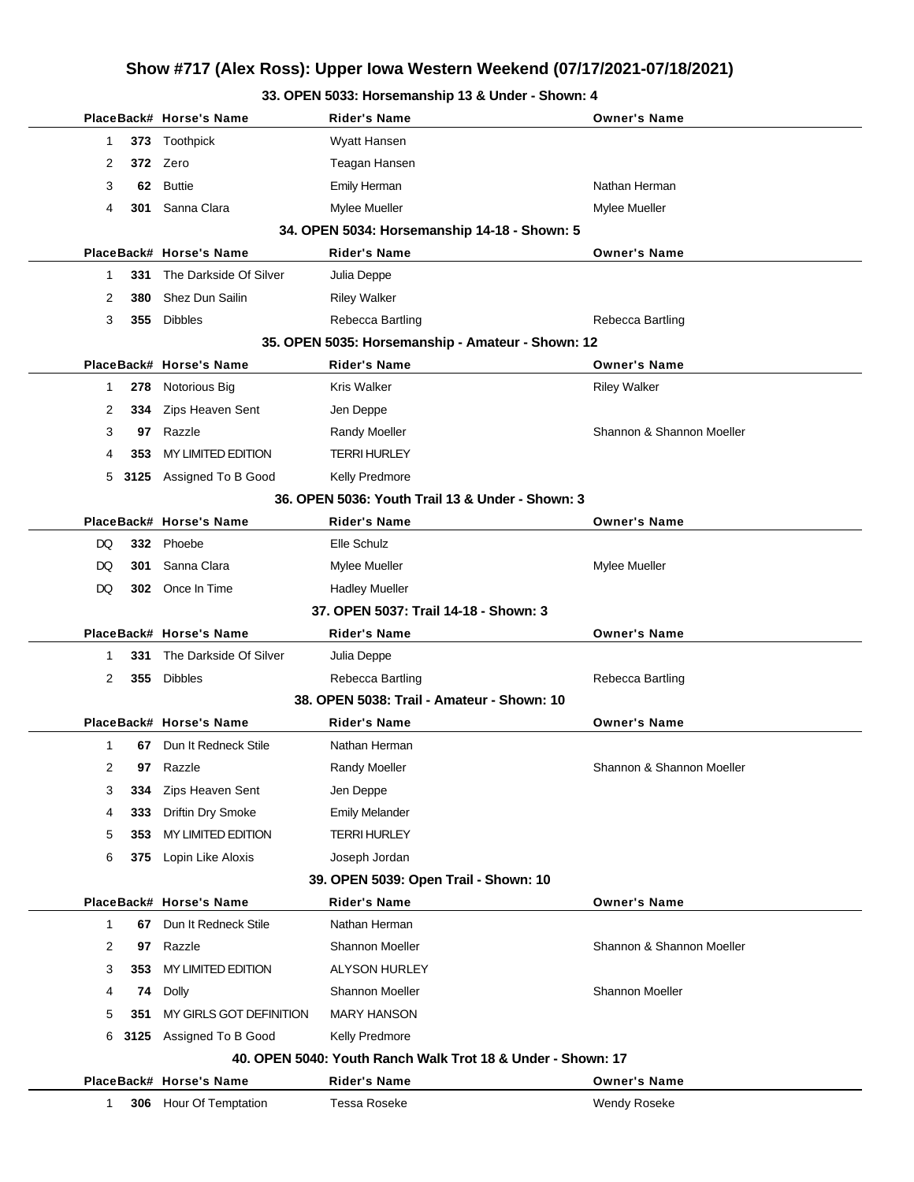# **Show #717 (Alex Ross): Upper Iowa Western Weekend (07/17/2021-07/18/2021)**

### **33. OPEN 5033: Horsemanship 13 & Under - Shown: 4**

|              |     | PlaceBack# Horse's Name   | <b>Rider's Name</b>                                         | <b>Owner's Name</b>       |
|--------------|-----|---------------------------|-------------------------------------------------------------|---------------------------|
| 1            |     | 373 Toothpick             | Wyatt Hansen                                                |                           |
| 2            |     | 372 Zero                  | Teagan Hansen                                               |                           |
| 3            |     | 62 Buttie                 | Emily Herman                                                | Nathan Herman             |
| 4            | 301 | Sanna Clara               | Mylee Mueller                                               | Mylee Mueller             |
|              |     |                           | 34. OPEN 5034: Horsemanship 14-18 - Shown: 5                |                           |
|              |     | PlaceBack# Horse's Name   | <b>Rider's Name</b>                                         | <b>Owner's Name</b>       |
| 1            | 331 | The Darkside Of Silver    | Julia Deppe                                                 |                           |
| 2            | 380 | Shez Dun Sailin           | <b>Riley Walker</b>                                         |                           |
| 3            |     | 355 Dibbles               | Rebecca Bartling                                            | Rebecca Bartling          |
|              |     |                           | 35. OPEN 5035: Horsemanship - Amateur - Shown: 12           |                           |
|              |     | PlaceBack# Horse's Name   | <b>Rider's Name</b>                                         | <b>Owner's Name</b>       |
| $\mathbf{1}$ | 278 | Notorious Big             | <b>Kris Walker</b>                                          | <b>Riley Walker</b>       |
| 2            |     | 334 Zips Heaven Sent      | Jen Deppe                                                   |                           |
| 3            | 97  | Razzle                    | Randy Moeller                                               | Shannon & Shannon Moeller |
| 4            | 353 | <b>MY LIMITED EDITION</b> | <b>TERRI HURLEY</b>                                         |                           |
| 5            |     | 3125 Assigned To B Good   | Kelly Predmore                                              |                           |
|              |     |                           | 36. OPEN 5036: Youth Trail 13 & Under - Shown: 3            |                           |
|              |     | PlaceBack# Horse's Name   | <b>Rider's Name</b>                                         | <b>Owner's Name</b>       |
| DQ           |     | 332 Phoebe                | Elle Schulz                                                 |                           |
| DQ           | 301 | Sanna Clara               | Mylee Mueller                                               | Mylee Mueller             |
| DQ           |     | 302 Once In Time          | <b>Hadley Mueller</b>                                       |                           |
|              |     |                           | 37. OPEN 5037: Trail 14-18 - Shown: 3                       |                           |
|              |     | PlaceBack# Horse's Name   | <b>Rider's Name</b>                                         | <b>Owner's Name</b>       |
| 1            | 331 | The Darkside Of Silver    | Julia Deppe                                                 |                           |
| 2            |     | 355 Dibbles               | Rebecca Bartling                                            | Rebecca Bartling          |
|              |     |                           | 38. OPEN 5038: Trail - Amateur - Shown: 10                  |                           |
|              |     | PlaceBack# Horse's Name   | <b>Rider's Name</b>                                         | <b>Owner's Name</b>       |
| $\mathbf{1}$ |     | 67 Dun It Redneck Stile   | Nathan Herman                                               |                           |
| 2            | 97  | Razzle                    | Randy Moeller                                               | Shannon & Shannon Moeller |
| 3            | 334 | Zips Heaven Sent          | Jen Deppe                                                   |                           |
| 4            | 333 | Driftin Dry Smoke         | <b>Emily Melander</b>                                       |                           |
| 5            | 353 | MY LIMITED EDITION        | <b>TERRI HURLEY</b>                                         |                           |
| 6            |     | 375 Lopin Like Aloxis     | Joseph Jordan                                               |                           |
|              |     |                           | 39. OPEN 5039: Open Trail - Shown: 10                       |                           |
|              |     | PlaceBack# Horse's Name   | <b>Rider's Name</b>                                         | <b>Owner's Name</b>       |
| $\mathbf 1$  | 67  | Dun It Redneck Stile      | Nathan Herman                                               |                           |
| 2            | 97  | Razzle                    | Shannon Moeller                                             | Shannon & Shannon Moeller |
| 3            | 353 | MY LIMITED EDITION        | <b>ALYSON HURLEY</b>                                        |                           |
| 4            | 74  | Dolly                     | Shannon Moeller                                             | <b>Shannon Moeller</b>    |
| 5            | 351 | MY GIRLS GOT DEFINITION   | <b>MARY HANSON</b>                                          |                           |
| 6            |     | 3125 Assigned To B Good   | <b>Kelly Predmore</b>                                       |                           |
|              |     |                           | 40. OPEN 5040: Youth Ranch Walk Trot 18 & Under - Shown: 17 |                           |
|              |     | PlaceBack# Horse's Name   | <b>Rider's Name</b>                                         | <b>Owner's Name</b>       |
| $\mathbf{1}$ |     | 306 Hour Of Temptation    | <b>Tessa Roseke</b>                                         | Wendy Roseke              |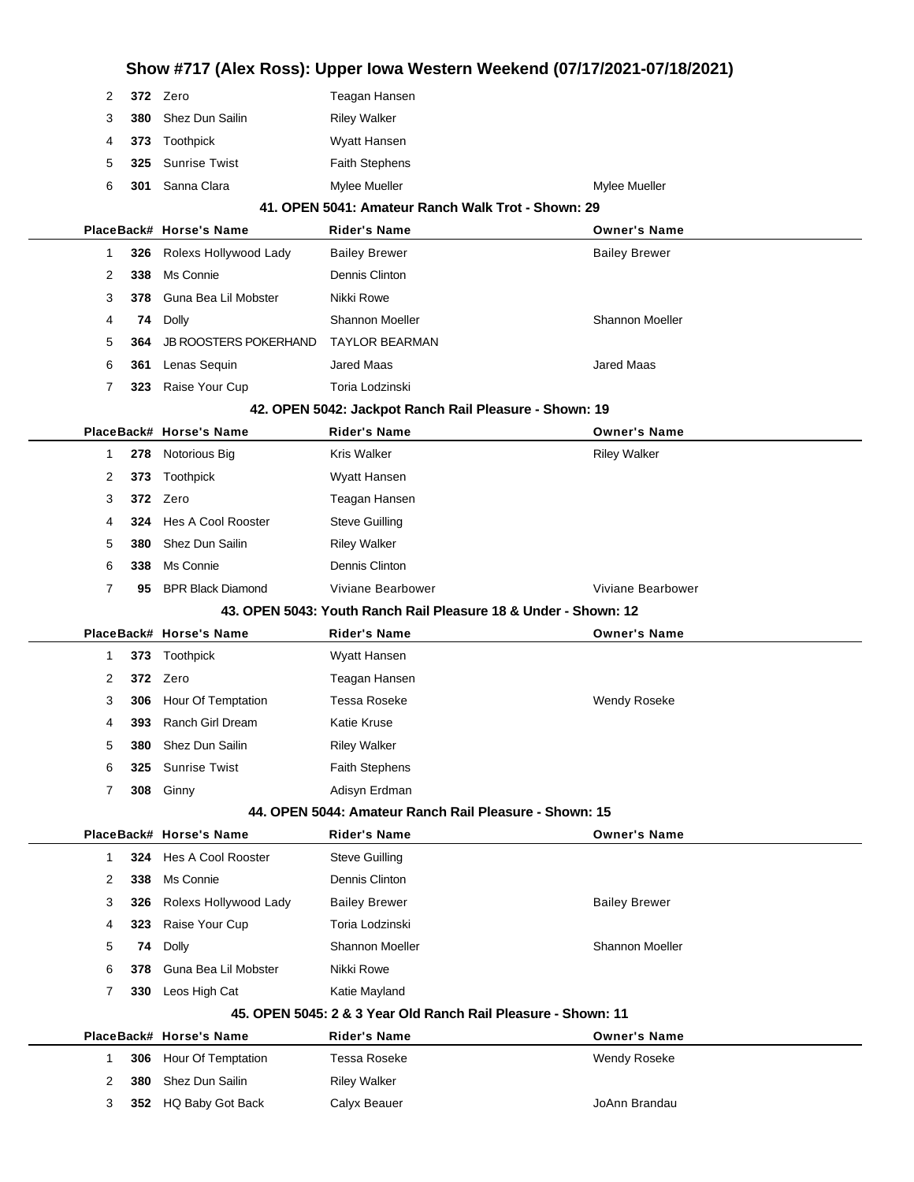| Show #717 (Alex Ross): Upper Iowa Western Weekend (07/17/2021-07/18/2021) |     |                              |                                                               |                        |  |  |  |
|---------------------------------------------------------------------------|-----|------------------------------|---------------------------------------------------------------|------------------------|--|--|--|
| 2                                                                         |     | 372 Zero                     | Teagan Hansen                                                 |                        |  |  |  |
| 3                                                                         | 380 | Shez Dun Sailin              | <b>Riley Walker</b>                                           |                        |  |  |  |
| 4                                                                         |     | 373 Toothpick                | Wyatt Hansen                                                  |                        |  |  |  |
| 5                                                                         | 325 | <b>Sunrise Twist</b>         | <b>Faith Stephens</b>                                         |                        |  |  |  |
| 6                                                                         | 301 | Sanna Clara                  | Mylee Mueller                                                 | Mylee Mueller          |  |  |  |
|                                                                           |     |                              | 41. OPEN 5041: Amateur Ranch Walk Trot - Shown: 29            |                        |  |  |  |
|                                                                           |     | PlaceBack# Horse's Name      | Rider's Name                                                  | <b>Owner's Name</b>    |  |  |  |
| 1                                                                         |     | 326 Rolexs Hollywood Lady    | <b>Bailey Brewer</b>                                          | <b>Bailey Brewer</b>   |  |  |  |
| 2                                                                         | 338 | Ms Connie                    | Dennis Clinton                                                |                        |  |  |  |
| 3                                                                         |     | 378 Guna Bea Lil Mobster     | Nikki Rowe                                                    |                        |  |  |  |
| 4                                                                         | 74  | Dolly                        | <b>Shannon Moeller</b>                                        | <b>Shannon Moeller</b> |  |  |  |
| 5                                                                         | 364 | <b>JB ROOSTERS POKERHAND</b> | <b>TAYLOR BEARMAN</b>                                         |                        |  |  |  |
| 6                                                                         | 361 | Lenas Sequin                 | <b>Jared Maas</b>                                             | Jared Maas             |  |  |  |
| 7                                                                         |     | 323 Raise Your Cup           | Toria Lodzinski                                               |                        |  |  |  |
|                                                                           |     |                              | 42. OPEN 5042: Jackpot Ranch Rail Pleasure - Shown: 19        |                        |  |  |  |
|                                                                           |     | PlaceBack# Horse's Name      | Rider's Name                                                  | <b>Owner's Name</b>    |  |  |  |
| 1                                                                         | 278 | Notorious Big                | Kris Walker                                                   | <b>Riley Walker</b>    |  |  |  |
| 2                                                                         | 373 | Toothpick                    | Wyatt Hansen                                                  |                        |  |  |  |
| 3                                                                         |     | 372 Zero                     | Teagan Hansen                                                 |                        |  |  |  |
| 4                                                                         | 324 | <b>Hes A Cool Rooster</b>    | <b>Steve Guilling</b>                                         |                        |  |  |  |
| 5                                                                         | 380 | Shez Dun Sailin              | <b>Riley Walker</b>                                           |                        |  |  |  |
| 6                                                                         | 338 | Ms Connie                    | Dennis Clinton                                                |                        |  |  |  |
| $\overline{7}$                                                            | 95  | <b>BPR Black Diamond</b>     | Viviane Bearbower                                             | Viviane Bearbower      |  |  |  |
| 43. OPEN 5043: Youth Ranch Rail Pleasure 18 & Under - Shown: 12           |     |                              |                                                               |                        |  |  |  |
|                                                                           |     |                              |                                                               |                        |  |  |  |
|                                                                           |     | PlaceBack# Horse's Name      | <b>Rider's Name</b>                                           | <b>Owner's Name</b>    |  |  |  |
| 1                                                                         |     | 373 Toothpick                | Wyatt Hansen                                                  |                        |  |  |  |
| 2                                                                         |     | 372 Zero                     | Teagan Hansen                                                 |                        |  |  |  |
| 3                                                                         | 306 | Hour Of Temptation           | Tessa Roseke                                                  | <b>Wendy Roseke</b>    |  |  |  |
| 4                                                                         | 393 | Ranch Girl Dream             | Katie Kruse                                                   |                        |  |  |  |
| 5                                                                         | 380 | Shez Dun Sailin              | <b>Riley Walker</b>                                           |                        |  |  |  |
| 6                                                                         | 325 | <b>Sunrise Twist</b>         | <b>Faith Stephens</b>                                         |                        |  |  |  |
| 7                                                                         |     | 308 Ginny                    | Adisyn Erdman                                                 |                        |  |  |  |
|                                                                           |     |                              | 44. OPEN 5044: Amateur Ranch Rail Pleasure - Shown: 15        |                        |  |  |  |
|                                                                           |     | PlaceBack# Horse's Name      | Rider's Name                                                  | <b>Owner's Name</b>    |  |  |  |
| 1                                                                         |     | 324 Hes A Cool Rooster       | <b>Steve Guilling</b>                                         |                        |  |  |  |
| 2                                                                         | 338 | Ms Connie                    | Dennis Clinton                                                |                        |  |  |  |
| 3                                                                         | 326 | Rolexs Hollywood Lady        | <b>Bailey Brewer</b>                                          | <b>Bailey Brewer</b>   |  |  |  |
| 4                                                                         | 323 | Raise Your Cup               | Toria Lodzinski                                               |                        |  |  |  |
| 5                                                                         | 74  | Dolly                        | Shannon Moeller                                               | <b>Shannon Moeller</b> |  |  |  |
| 6                                                                         | 378 | Guna Bea Lil Mobster         | Nikki Rowe                                                    |                        |  |  |  |
| 7                                                                         | 330 | Leos High Cat                | Katie Mayland                                                 |                        |  |  |  |
|                                                                           |     |                              | 45. OPEN 5045: 2 & 3 Year Old Ranch Rail Pleasure - Shown: 11 |                        |  |  |  |
|                                                                           |     | PlaceBack# Horse's Name      | Rider's Name                                                  | <b>Owner's Name</b>    |  |  |  |
| 1                                                                         | 306 | Hour Of Temptation           | Tessa Roseke                                                  | Wendy Roseke           |  |  |  |
| 2                                                                         | 380 | Shez Dun Sailin              | <b>Riley Walker</b>                                           |                        |  |  |  |
| 3                                                                         |     | 352 HQ Baby Got Back         | Calyx Beauer                                                  | JoAnn Brandau          |  |  |  |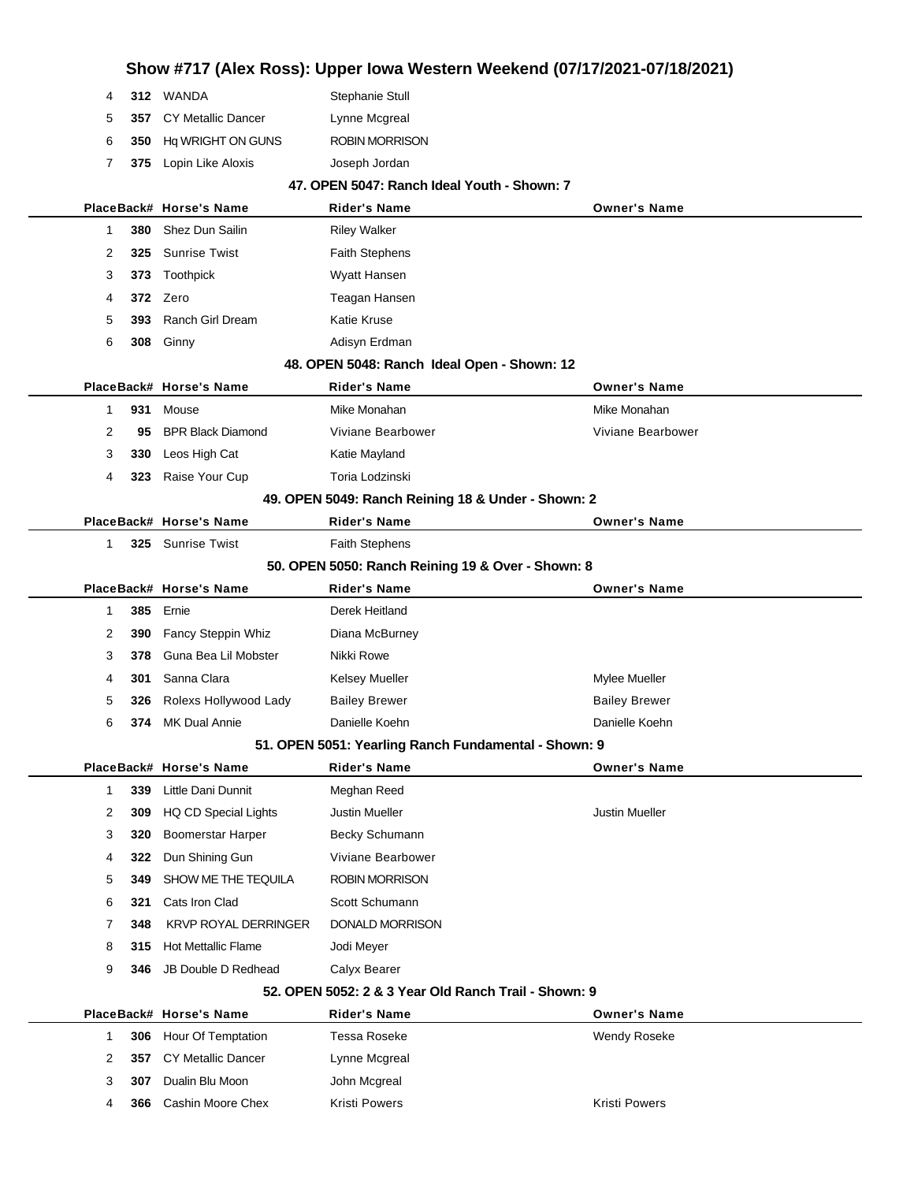|                |     | Show #717 (Alex Ross): Upper Iowa Western Weekend (07/17/2021-07/18/2021) |                                                      |                       |  |  |
|----------------|-----|---------------------------------------------------------------------------|------------------------------------------------------|-----------------------|--|--|
| 4              |     | 312 WANDA                                                                 | Stephanie Stull                                      |                       |  |  |
| 5              | 357 | <b>CY Metallic Dancer</b>                                                 | Lynne Mcgreal                                        |                       |  |  |
| 6              | 350 | Hq WRIGHT ON GUNS                                                         | <b>ROBIN MORRISON</b>                                |                       |  |  |
| 7              | 375 | Lopin Like Aloxis                                                         | Joseph Jordan                                        |                       |  |  |
|                |     |                                                                           | 47. OPEN 5047: Ranch Ideal Youth - Shown: 7          |                       |  |  |
|                |     | PlaceBack# Horse's Name                                                   | <b>Rider's Name</b>                                  | <b>Owner's Name</b>   |  |  |
| 1              | 380 | <b>Shez Dun Sailin</b>                                                    | <b>Riley Walker</b>                                  |                       |  |  |
| 2              | 325 | <b>Sunrise Twist</b>                                                      | <b>Faith Stephens</b>                                |                       |  |  |
| 3              | 373 | Toothpick                                                                 | Wyatt Hansen                                         |                       |  |  |
| 4              | 372 | Zero                                                                      | Teagan Hansen                                        |                       |  |  |
| 5              | 393 | <b>Ranch Girl Dream</b>                                                   | <b>Katie Kruse</b>                                   |                       |  |  |
| 6              | 308 | Ginny                                                                     | Adisyn Erdman                                        |                       |  |  |
|                |     |                                                                           | 48. OPEN 5048: Ranch Ideal Open - Shown: 12          |                       |  |  |
|                |     | PlaceBack# Horse's Name                                                   | <b>Rider's Name</b>                                  | <b>Owner's Name</b>   |  |  |
| 1              | 931 | Mouse                                                                     | Mike Monahan                                         | Mike Monahan          |  |  |
| 2              | 95  | <b>BPR Black Diamond</b>                                                  | Viviane Bearbower                                    | Viviane Bearbower     |  |  |
| 3              | 330 | Leos High Cat                                                             | Katie Mayland                                        |                       |  |  |
| 4              | 323 | Raise Your Cup                                                            | Toria Lodzinski                                      |                       |  |  |
|                |     |                                                                           | 49. OPEN 5049: Ranch Reining 18 & Under - Shown: 2   |                       |  |  |
|                |     | PlaceBack# Horse's Name                                                   | <b>Rider's Name</b>                                  | <b>Owner's Name</b>   |  |  |
| 1              |     | 325 Sunrise Twist                                                         | <b>Faith Stephens</b>                                |                       |  |  |
|                |     |                                                                           | 50. OPEN 5050: Ranch Reining 19 & Over - Shown: 8    |                       |  |  |
|                |     | PlaceBack# Horse's Name                                                   | <b>Rider's Name</b>                                  | <b>Owner's Name</b>   |  |  |
| 1              | 385 | Ernie                                                                     | Derek Heitland                                       |                       |  |  |
| 2              | 390 | Fancy Steppin Whiz                                                        | Diana McBurney                                       |                       |  |  |
| 3              | 378 | Guna Bea Lil Mobster                                                      | Nikki Rowe                                           |                       |  |  |
| 4              | 301 | Sanna Clara                                                               | Kelsey Mueller                                       | Mylee Mueller         |  |  |
| 5              | 326 | Rolexs Hollywood Lady                                                     | <b>Bailey Brewer</b>                                 | <b>Bailey Brewer</b>  |  |  |
| 6              | 374 | MK Dual Annie                                                             | Danielle Koehn                                       | Danielle Koehn        |  |  |
|                |     |                                                                           | 51. OPEN 5051: Yearling Ranch Fundamental - Shown: 9 |                       |  |  |
|                |     | PlaceBack# Horse's Name                                                   | <b>Rider's Name</b>                                  | <b>Owner's Name</b>   |  |  |
| $\mathbf{1}$   | 339 | Little Dani Dunnit                                                        | Meghan Reed                                          |                       |  |  |
| 2              | 309 | <b>HQ CD Special Lights</b>                                               | Justin Mueller                                       | <b>Justin Mueller</b> |  |  |
| 3              | 320 | <b>Boomerstar Harper</b>                                                  | Becky Schumann                                       |                       |  |  |
| 4              | 322 | Dun Shining Gun                                                           | Viviane Bearbower                                    |                       |  |  |
| 5              | 349 | SHOW ME THE TEQUILA                                                       | <b>ROBIN MORRISON</b>                                |                       |  |  |
| 6              | 321 | Cats Iron Clad                                                            | Scott Schumann                                       |                       |  |  |
| 7              | 348 | <b>KRVP ROYAL DERRINGER</b>                                               | <b>DONALD MORRISON</b>                               |                       |  |  |
| 8              | 315 | <b>Hot Mettallic Flame</b>                                                | Jodi Meyer                                           |                       |  |  |
| 9              | 346 | JB Double D Redhead                                                       | Calyx Bearer                                         |                       |  |  |
|                |     |                                                                           | 52. OPEN 5052: 2 & 3 Year Old Ranch Trail - Shown: 9 |                       |  |  |
|                |     | PlaceBack# Horse's Name                                                   | <b>Rider's Name</b>                                  | <b>Owner's Name</b>   |  |  |
| $\mathbf{1}$   | 306 | Hour Of Temptation                                                        | Tessa Roseke                                         | Wendy Roseke          |  |  |
| $\overline{2}$ | 357 | <b>CY Metallic Dancer</b>                                                 | Lynne Mcgreal                                        |                       |  |  |
| 3              | 307 | Dualin Blu Moon                                                           | John Mcgreal                                         |                       |  |  |
| 4              | 366 | Cashin Moore Chex                                                         | <b>Kristi Powers</b>                                 | <b>Kristi Powers</b>  |  |  |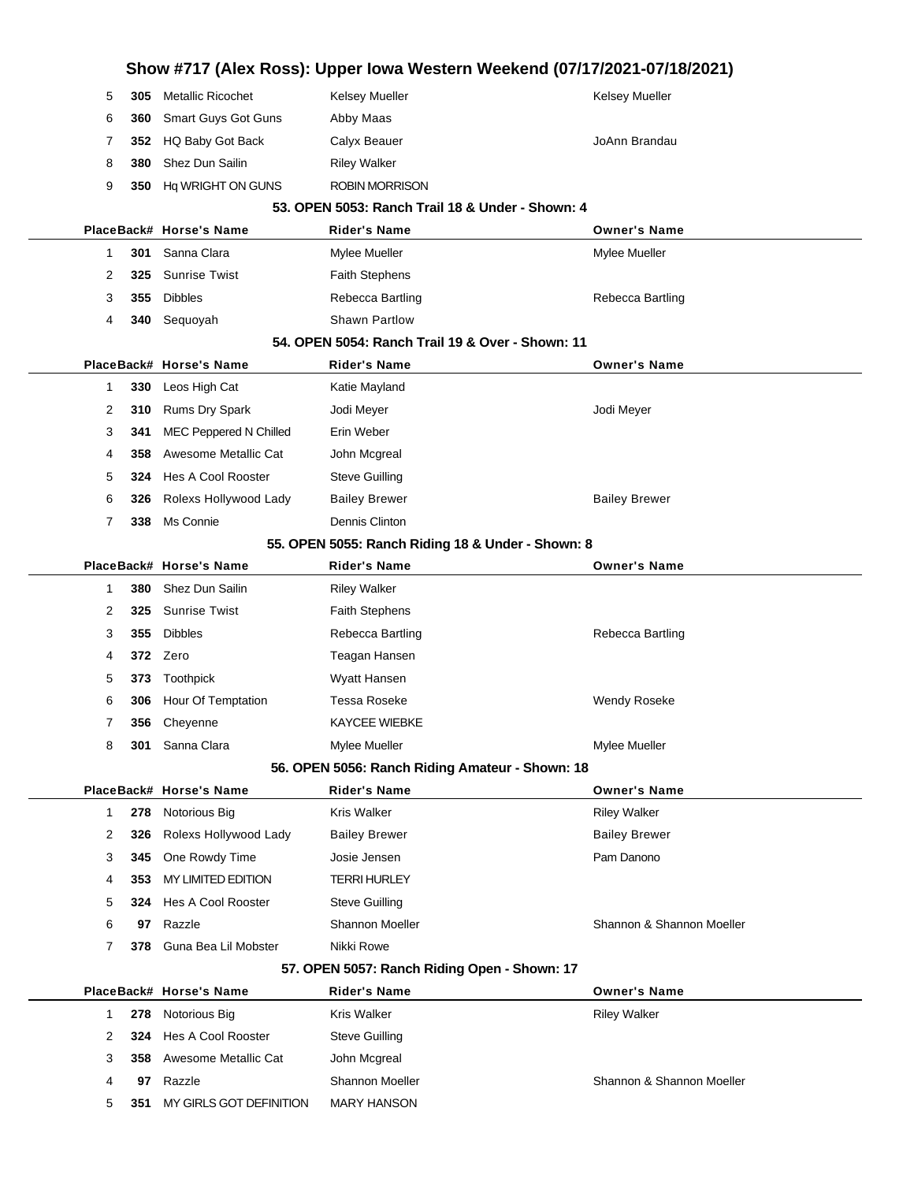|              |     |                          | Show #717 (Alex Ross): Upper Iowa Western Weekend (07/17/2021-07/18/2021) |                           |
|--------------|-----|--------------------------|---------------------------------------------------------------------------|---------------------------|
| 5            | 305 | <b>Metallic Ricochet</b> | Kelsey Mueller                                                            | Kelsey Mueller            |
| 6            | 360 | Smart Guys Got Guns      | Abby Maas                                                                 |                           |
| 7            | 352 | HQ Baby Got Back         | Calyx Beauer                                                              | JoAnn Brandau             |
| 8            | 380 | Shez Dun Sailin          | <b>Riley Walker</b>                                                       |                           |
| 9            | 350 | Hq WRIGHT ON GUNS        | <b>ROBIN MORRISON</b>                                                     |                           |
|              |     |                          | 53. OPEN 5053: Ranch Trail 18 & Under - Shown: 4                          |                           |
|              |     | PlaceBack# Horse's Name  | <b>Rider's Name</b>                                                       | <b>Owner's Name</b>       |
| $\mathbf{1}$ | 301 | Sanna Clara              | Mylee Mueller                                                             | Mylee Mueller             |
| 2            | 325 | <b>Sunrise Twist</b>     | <b>Faith Stephens</b>                                                     |                           |
| 3            | 355 | <b>Dibbles</b>           | Rebecca Bartling                                                          | Rebecca Bartling          |
| 4            | 340 | Sequoyah                 | Shawn Partlow                                                             |                           |
|              |     |                          | 54. OPEN 5054: Ranch Trail 19 & Over - Shown: 11                          |                           |
|              |     | PlaceBack# Horse's Name  | <b>Rider's Name</b>                                                       | <b>Owner's Name</b>       |
| 1            | 330 | Leos High Cat            | Katie Mayland                                                             |                           |
| 2            | 310 | Rums Dry Spark           | Jodi Meyer                                                                | Jodi Meyer                |
| 3            | 341 | MEC Peppered N Chilled   | Erin Weber                                                                |                           |
| 4            | 358 | Awesome Metallic Cat     | John Mcgreal                                                              |                           |
| 5            | 324 | Hes A Cool Rooster       | <b>Steve Guilling</b>                                                     |                           |
| 6            | 326 | Rolexs Hollywood Lady    | <b>Bailey Brewer</b>                                                      | <b>Bailey Brewer</b>      |
| 7            | 338 | Ms Connie                | Dennis Clinton                                                            |                           |
|              |     |                          | 55. OPEN 5055: Ranch Riding 18 & Under - Shown: 8                         |                           |
|              |     | PlaceBack# Horse's Name  | <b>Rider's Name</b>                                                       | <b>Owner's Name</b>       |
| $\mathbf{1}$ | 380 | Shez Dun Sailin          | <b>Riley Walker</b>                                                       |                           |
| 2            | 325 | <b>Sunrise Twist</b>     | <b>Faith Stephens</b>                                                     |                           |
| 3            | 355 | <b>Dibbles</b>           | Rebecca Bartling                                                          | Rebecca Bartling          |
| 4            |     | 372 Zero                 | Teagan Hansen                                                             |                           |
| 5            | 373 | Toothpick                | Wyatt Hansen                                                              |                           |
| 6            | 306 | Hour Of Temptation       | Tessa Roseke                                                              | Wendy Roseke              |
| 7            | 356 | Cheyenne                 | <b>KAYCEE WIEBKE</b>                                                      |                           |
| 8            | 301 | Sanna Clara              | Mylee Mueller                                                             | Mylee Mueller             |
|              |     |                          | 56. OPEN 5056: Ranch Riding Amateur - Shown: 18                           |                           |
|              |     | PlaceBack# Horse's Name  | <b>Rider's Name</b>                                                       | <b>Owner's Name</b>       |
| $\mathbf 1$  | 278 | Notorious Big            | Kris Walker                                                               | <b>Riley Walker</b>       |
| 2            | 326 | Rolexs Hollywood Lady    | <b>Bailey Brewer</b>                                                      | <b>Bailey Brewer</b>      |
| 3            | 345 | One Rowdy Time           | Josie Jensen                                                              | Pam Danono                |
| 4            | 353 | MY LIMITED EDITION       | TERRI HURLEY                                                              |                           |
| 5            | 324 | Hes A Cool Rooster       | <b>Steve Guilling</b>                                                     |                           |
| 6            | 97  | Razzle                   | Shannon Moeller                                                           | Shannon & Shannon Moeller |
| 7            | 378 | Guna Bea Lil Mobster     | Nikki Rowe                                                                |                           |
|              |     |                          | 57. OPEN 5057: Ranch Riding Open - Shown: 17                              |                           |
|              |     | PlaceBack# Horse's Name  | <b>Rider's Name</b>                                                       | <b>Owner's Name</b>       |
| 1            | 278 | Notorious Big            | Kris Walker                                                               | <b>Riley Walker</b>       |
| 2            | 324 | Hes A Cool Rooster       | <b>Steve Guilling</b>                                                     |                           |
| 3            |     | 358 Awesome Metallic Cat | John Mcgreal                                                              |                           |
| 4            | 97  | Razzle                   | Shannon Moeller                                                           | Shannon & Shannon Moeller |
| 5            | 351 | MY GIRLS GOT DEFINITION  | <b>MARY HANSON</b>                                                        |                           |